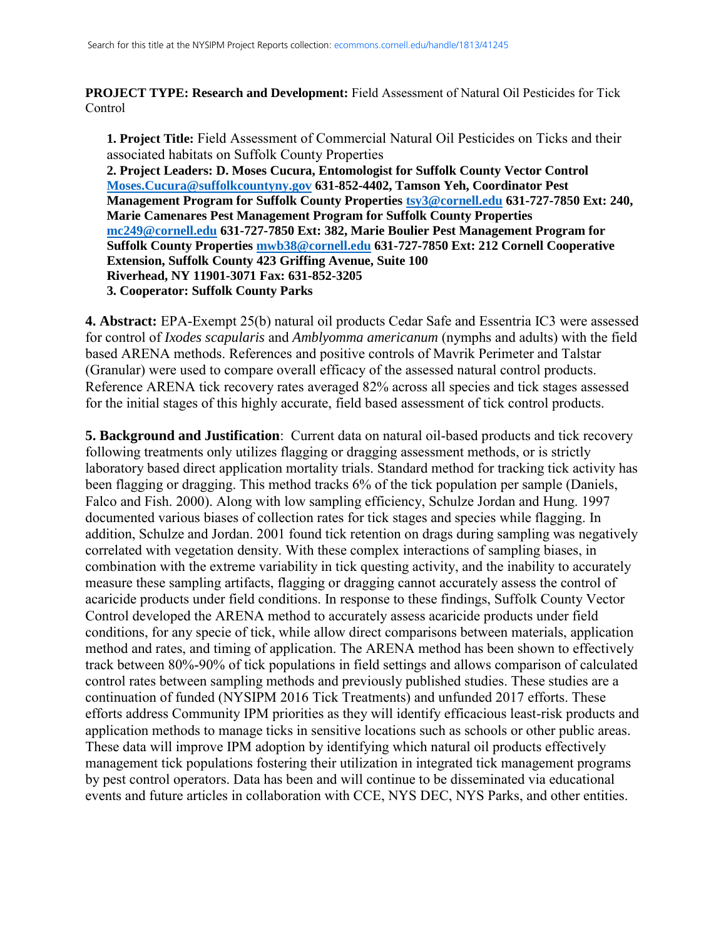**PROJECT TYPE: Research and Development:** Field Assessment of Natural Oil Pesticides for Tick **Control** 

**1. Project Title:** Field Assessment of Commercial Natural Oil Pesticides on Ticks and their associated habitats on Suffolk County Properties **2. Project Leaders: D. Moses Cucura, Entomologist for Suffolk County Vector Control [Moses.Cucura@suffolkcountyny.gov](mailto:Moses.Cucura@suffolkcountyny.gov) 631-852-4402, Tamson Yeh, Coordinator Pest Management Program for Suffolk County Properties [tsy3@cornell.edu](mailto:tsy3@cornell.edu) 631-727-7850 Ext: 240, Marie Camenares Pest Management Program for Suffolk County Properties [mc249@cornell.edu](mailto:mc249@cornell.edu) 631-727-7850 Ext: 382, Marie Boulier Pest Management Program for Suffolk County Properties [mwb38@cornell.edu](mailto:mwb38@cornell.edu) 631-727-7850 Ext: 212 Cornell Cooperative Extension, Suffolk County 423 Griffing Avenue, Suite 100 Riverhead, NY 11901-3071 Fax: 631-852-3205 3. Cooperator: Suffolk County Parks**

**4. Abstract:** EPA-Exempt 25(b) natural oil products Cedar Safe and Essentria IC3 were assessed for control of *Ixodes scapularis* and *Amblyomma americanum* (nymphs and adults) with the field based ARENA methods. References and positive controls of Mavrik Perimeter and Talstar (Granular) were used to compare overall efficacy of the assessed natural control products. Reference ARENA tick recovery rates averaged 82% across all species and tick stages assessed for the initial stages of this highly accurate, field based assessment of tick control products.

**5. Background and Justification**: Current data on natural oil-based products and tick recovery following treatments only utilizes flagging or dragging assessment methods, or is strictly laboratory based direct application mortality trials. Standard method for tracking tick activity has been flagging or dragging. This method tracks 6% of the tick population per sample (Daniels, Falco and Fish. 2000). Along with low sampling efficiency, Schulze Jordan and Hung. 1997 documented various biases of collection rates for tick stages and species while flagging. In addition, Schulze and Jordan. 2001 found tick retention on drags during sampling was negatively correlated with vegetation density. With these complex interactions of sampling biases, in combination with the extreme variability in tick questing activity, and the inability to accurately measure these sampling artifacts, flagging or dragging cannot accurately assess the control of acaricide products under field conditions. In response to these findings, Suffolk County Vector Control developed the ARENA method to accurately assess acaricide products under field conditions, for any specie of tick, while allow direct comparisons between materials, application method and rates, and timing of application. The ARENA method has been shown to effectively track between 80%-90% of tick populations in field settings and allows comparison of calculated control rates between sampling methods and previously published studies. These studies are a continuation of funded (NYSIPM 2016 Tick Treatments) and unfunded 2017 efforts. These efforts address Community IPM priorities as they will identify efficacious least-risk products and application methods to manage ticks in sensitive locations such as schools or other public areas. These data will improve IPM adoption by identifying which natural oil products effectively management tick populations fostering their utilization in integrated tick management programs by pest control operators. Data has been and will continue to be disseminated via educational events and future articles in collaboration with CCE, NYS DEC, NYS Parks, and other entities.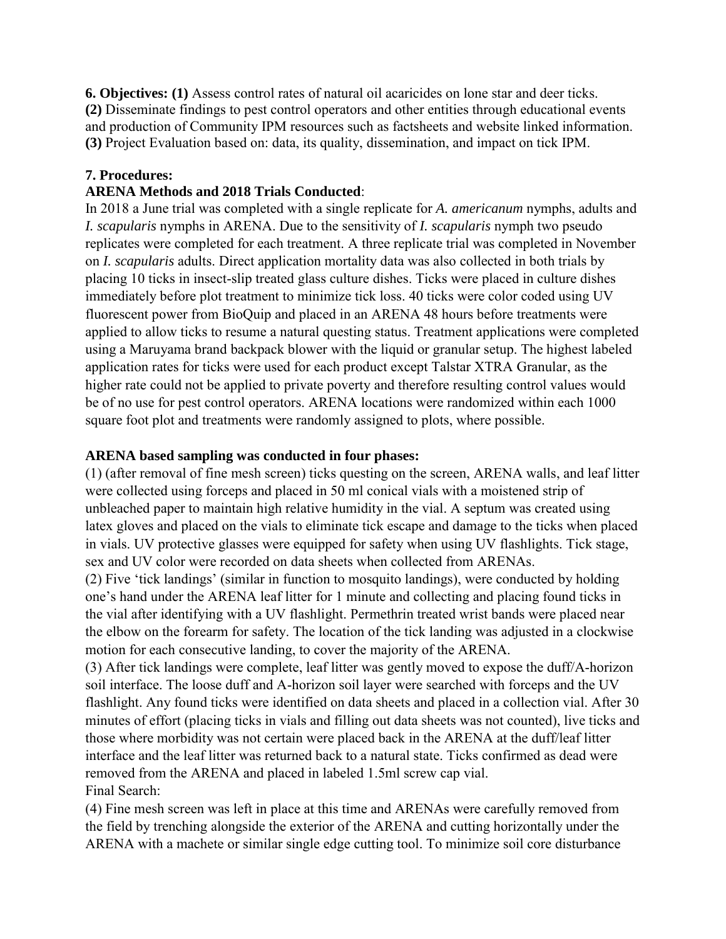**6. Objectives: (1)** Assess control rates of natural oil acaricides on lone star and deer ticks. **(2)** Disseminate findings to pest control operators and other entities through educational events and production of Community IPM resources such as factsheets and website linked information. **(3)** Project Evaluation based on: data, its quality, dissemination, and impact on tick IPM.

# **7. Procedures:**

## **ARENA Methods and 2018 Trials Conducted**:

In 2018 a June trial was completed with a single replicate for *A. americanum* nymphs, adults and *I. scapularis* nymphs in ARENA. Due to the sensitivity of *I. scapularis* nymph two pseudo replicates were completed for each treatment. A three replicate trial was completed in November on *I. scapularis* adults. Direct application mortality data was also collected in both trials by placing 10 ticks in insect-slip treated glass culture dishes. Ticks were placed in culture dishes immediately before plot treatment to minimize tick loss. 40 ticks were color coded using UV fluorescent power from BioQuip and placed in an ARENA 48 hours before treatments were applied to allow ticks to resume a natural questing status. Treatment applications were completed using a Maruyama brand backpack blower with the liquid or granular setup. The highest labeled application rates for ticks were used for each product except Talstar XTRA Granular, as the higher rate could not be applied to private poverty and therefore resulting control values would be of no use for pest control operators. ARENA locations were randomized within each 1000 square foot plot and treatments were randomly assigned to plots, where possible.

## **ARENA based sampling was conducted in four phases:**

(1) (after removal of fine mesh screen) ticks questing on the screen, ARENA walls, and leaf litter were collected using forceps and placed in 50 ml conical vials with a moistened strip of unbleached paper to maintain high relative humidity in the vial. A septum was created using latex gloves and placed on the vials to eliminate tick escape and damage to the ticks when placed in vials. UV protective glasses were equipped for safety when using UV flashlights. Tick stage, sex and UV color were recorded on data sheets when collected from ARENAs.

(2) Five 'tick landings' (similar in function to mosquito landings), were conducted by holding one's hand under the ARENA leaf litter for 1 minute and collecting and placing found ticks in the vial after identifying with a UV flashlight. Permethrin treated wrist bands were placed near the elbow on the forearm for safety. The location of the tick landing was adjusted in a clockwise motion for each consecutive landing, to cover the majority of the ARENA.

(3) After tick landings were complete, leaf litter was gently moved to expose the duff/A-horizon soil interface. The loose duff and A-horizon soil layer were searched with forceps and the UV flashlight. Any found ticks were identified on data sheets and placed in a collection vial. After 30 minutes of effort (placing ticks in vials and filling out data sheets was not counted), live ticks and those where morbidity was not certain were placed back in the ARENA at the duff/leaf litter interface and the leaf litter was returned back to a natural state. Ticks confirmed as dead were removed from the ARENA and placed in labeled 1.5ml screw cap vial. Final Search:

(4) Fine mesh screen was left in place at this time and ARENAs were carefully removed from the field by trenching alongside the exterior of the ARENA and cutting horizontally under the ARENA with a machete or similar single edge cutting tool. To minimize soil core disturbance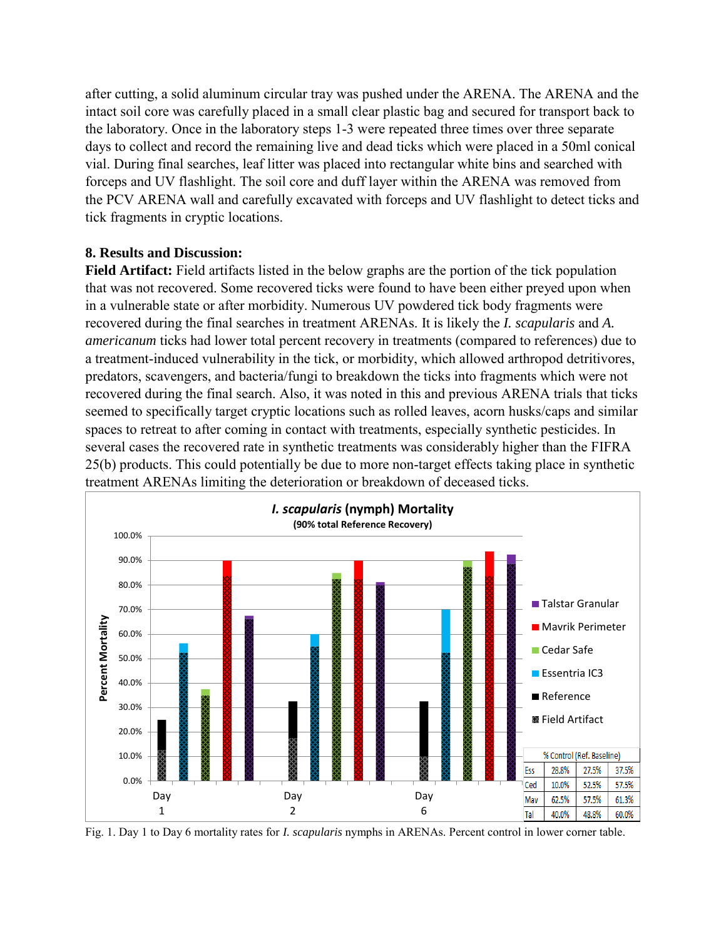after cutting, a solid aluminum circular tray was pushed under the ARENA. The ARENA and the intact soil core was carefully placed in a small clear plastic bag and secured for transport back to the laboratory. Once in the laboratory steps 1-3 were repeated three times over three separate days to collect and record the remaining live and dead ticks which were placed in a 50ml conical vial. During final searches, leaf litter was placed into rectangular white bins and searched with forceps and UV flashlight. The soil core and duff layer within the ARENA was removed from the PCV ARENA wall and carefully excavated with forceps and UV flashlight to detect ticks and tick fragments in cryptic locations.

## **8. Results and Discussion:**

**Field Artifact:** Field artifacts listed in the below graphs are the portion of the tick population that was not recovered. Some recovered ticks were found to have been either preyed upon when in a vulnerable state or after morbidity. Numerous UV powdered tick body fragments were recovered during the final searches in treatment ARENAs. It is likely the *I. scapularis* and *A. americanum* ticks had lower total percent recovery in treatments (compared to references) due to a treatment-induced vulnerability in the tick, or morbidity, which allowed arthropod detritivores, predators, scavengers, and bacteria/fungi to breakdown the ticks into fragments which were not recovered during the final search. Also, it was noted in this and previous ARENA trials that ticks seemed to specifically target cryptic locations such as rolled leaves, acorn husks/caps and similar spaces to retreat to after coming in contact with treatments, especially synthetic pesticides. In several cases the recovered rate in synthetic treatments was considerably higher than the FIFRA 25(b) products. This could potentially be due to more non-target effects taking place in synthetic treatment ARENAs limiting the deterioration or breakdown of deceased ticks.



Fig. 1. Day 1 to Day 6 mortality rates for *I. scapularis* nymphs in ARENAs. Percent control in lower corner table.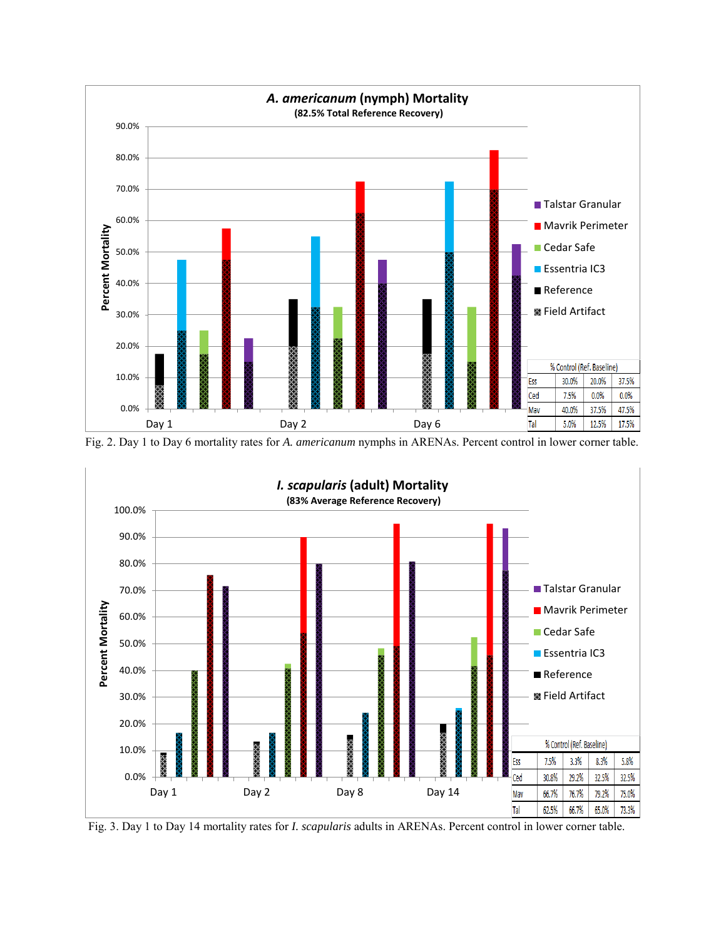

Fig. 2. Day 1 to Day 6 mortality rates for *A. americanum* nymphs in ARENAs. Percent control in lower corner table.



Fig. 3. Day 1 to Day 14 mortality rates for *I. scapularis* adults in ARENAs. Percent control in lower corner table.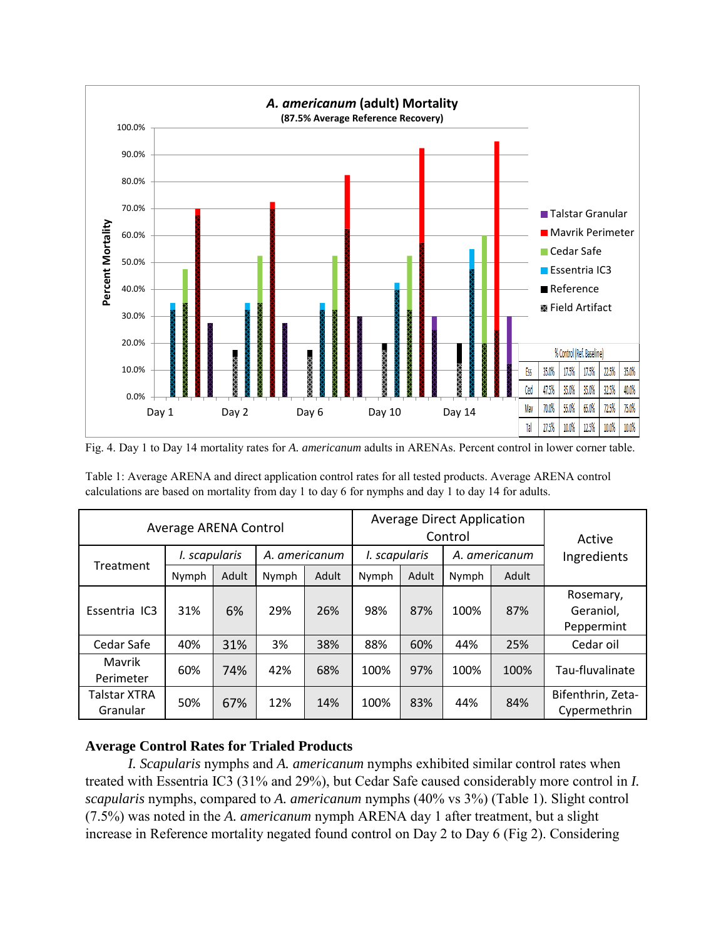

Fig. 4. Day 1 to Day 14 mortality rates for *A. americanum* adults in ARENAs. Percent control in lower corner table.

| Average ARENA Control    |               |       |               |       | <b>Average Direct Application</b><br>Control |       |               |       | Active                               |
|--------------------------|---------------|-------|---------------|-------|----------------------------------------------|-------|---------------|-------|--------------------------------------|
| Treatment                | I. scapularis |       | A. americanum |       | I. scapularis                                |       | A. americanum |       | Ingredients                          |
|                          | Nymph         | Adult | Nymph         | Adult | Nymph                                        | Adult | Nymph         | Adult |                                      |
| Essentria IC3            | 31%           | 6%    | 29%           | 26%   | 98%                                          | 87%   | 100%          | 87%   | Rosemary,<br>Geraniol,<br>Peppermint |
| Cedar Safe               | 40%           | 31%   | 3%            | 38%   | 88%                                          | 60%   | 44%           | 25%   | Cedar oil                            |
| Mavrik<br>Perimeter      | 60%           | 74%   | 42%           | 68%   | 100%                                         | 97%   | 100%          | 100%  | Tau-fluvalinate                      |
| Talstar XTRA<br>Granular | 50%           | 67%   | 12%           | 14%   | 100%                                         | 83%   | 44%           | 84%   | Bifenthrin, Zeta-<br>Cypermethrin    |

Table 1: Average ARENA and direct application control rates for all tested products. Average ARENA control calculations are based on mortality from day 1 to day 6 for nymphs and day 1 to day 14 for adults.

### **Average Control Rates for Trialed Products**

*I. Scapularis* nymphs and *A. americanum* nymphs exhibited similar control rates when treated with Essentria IC3 (31% and 29%), but Cedar Safe caused considerably more control in *I. scapularis* nymphs, compared to *A. americanum* nymphs (40% vs 3%) (Table 1). Slight control (7.5%) was noted in the *A. americanum* nymph ARENA day 1 after treatment, but a slight increase in Reference mortality negated found control on Day 2 to Day 6 (Fig 2). Considering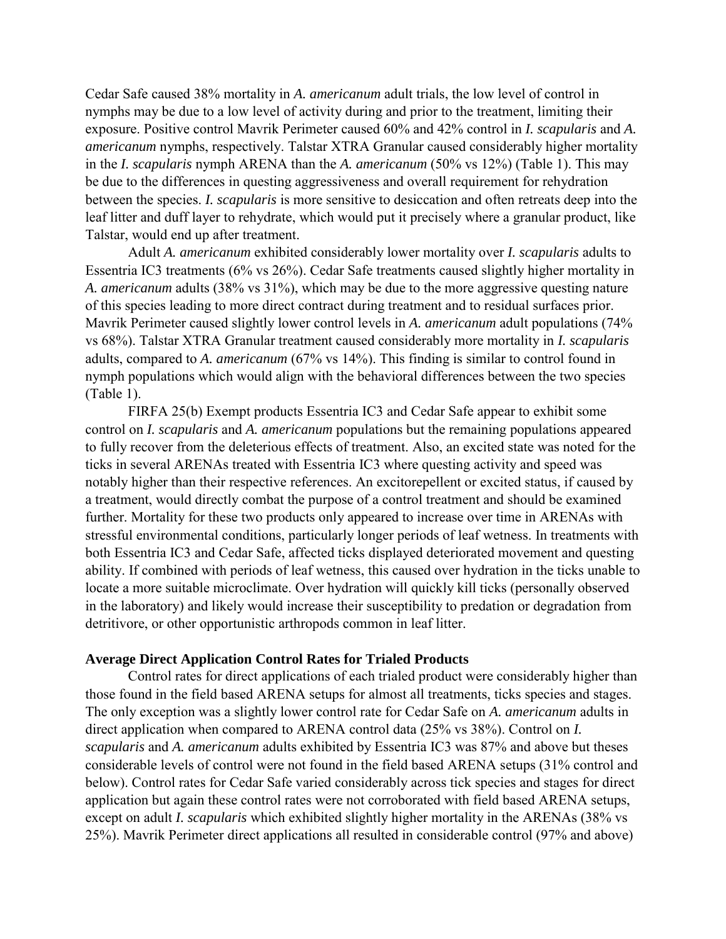Cedar Safe caused 38% mortality in *A. americanum* adult trials, the low level of control in nymphs may be due to a low level of activity during and prior to the treatment, limiting their exposure. Positive control Mavrik Perimeter caused 60% and 42% control in *I. scapularis* and *A. americanum* nymphs, respectively. Talstar XTRA Granular caused considerably higher mortality in the *I. scapularis* nymph ARENA than the *A. americanum* (50% vs 12%) (Table 1). This may be due to the differences in questing aggressiveness and overall requirement for rehydration between the species. *I. scapularis* is more sensitive to desiccation and often retreats deep into the leaf litter and duff layer to rehydrate, which would put it precisely where a granular product, like Talstar, would end up after treatment.

Adult *A. americanum* exhibited considerably lower mortality over *I. scapularis* adults to Essentria IC3 treatments (6% vs 26%). Cedar Safe treatments caused slightly higher mortality in *A. americanum* adults (38% vs 31%), which may be due to the more aggressive questing nature of this species leading to more direct contract during treatment and to residual surfaces prior. Mavrik Perimeter caused slightly lower control levels in *A. americanum* adult populations (74% vs 68%). Talstar XTRA Granular treatment caused considerably more mortality in *I. scapularis* adults, compared to *A. americanum* (67% vs 14%). This finding is similar to control found in nymph populations which would align with the behavioral differences between the two species (Table 1).

FIRFA 25(b) Exempt products Essentria IC3 and Cedar Safe appear to exhibit some control on *I. scapularis* and *A. americanum* populations but the remaining populations appeared to fully recover from the deleterious effects of treatment. Also, an excited state was noted for the ticks in several ARENAs treated with Essentria IC3 where questing activity and speed was notably higher than their respective references. An excitorepellent or excited status, if caused by a treatment, would directly combat the purpose of a control treatment and should be examined further. Mortality for these two products only appeared to increase over time in ARENAs with stressful environmental conditions, particularly longer periods of leaf wetness. In treatments with both Essentria IC3 and Cedar Safe, affected ticks displayed deteriorated movement and questing ability. If combined with periods of leaf wetness, this caused over hydration in the ticks unable to locate a more suitable microclimate. Over hydration will quickly kill ticks (personally observed in the laboratory) and likely would increase their susceptibility to predation or degradation from detritivore, or other opportunistic arthropods common in leaf litter.

### **Average Direct Application Control Rates for Trialed Products**

Control rates for direct applications of each trialed product were considerably higher than those found in the field based ARENA setups for almost all treatments, ticks species and stages. The only exception was a slightly lower control rate for Cedar Safe on *A. americanum* adults in direct application when compared to ARENA control data (25% vs 38%). Control on *I. scapularis* and *A. americanum* adults exhibited by Essentria IC3 was 87% and above but theses considerable levels of control were not found in the field based ARENA setups (31% control and below). Control rates for Cedar Safe varied considerably across tick species and stages for direct application but again these control rates were not corroborated with field based ARENA setups, except on adult *I. scapularis* which exhibited slightly higher mortality in the ARENAs (38% vs 25%). Mavrik Perimeter direct applications all resulted in considerable control (97% and above)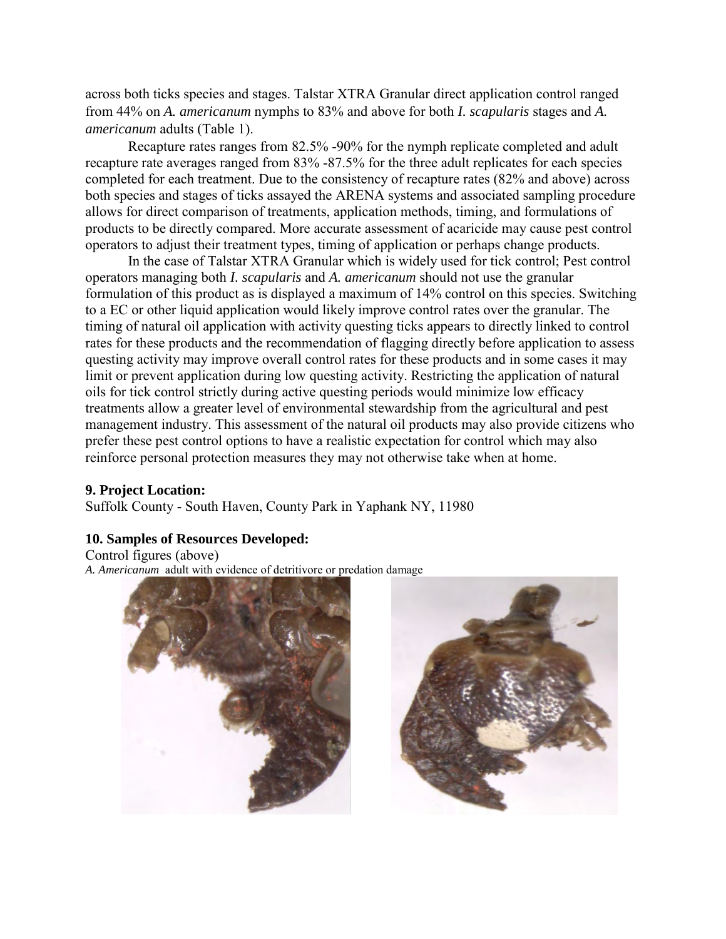across both ticks species and stages. Talstar XTRA Granular direct application control ranged from 44% on *A. americanum* nymphs to 83% and above for both *I. scapularis* stages and *A. americanum* adults (Table 1).

Recapture rates ranges from 82.5% -90% for the nymph replicate completed and adult recapture rate averages ranged from 83% -87.5% for the three adult replicates for each species completed for each treatment. Due to the consistency of recapture rates (82% and above) across both species and stages of ticks assayed the ARENA systems and associated sampling procedure allows for direct comparison of treatments, application methods, timing, and formulations of products to be directly compared. More accurate assessment of acaricide may cause pest control operators to adjust their treatment types, timing of application or perhaps change products.

In the case of Talstar XTRA Granular which is widely used for tick control; Pest control operators managing both *I. scapularis* and *A. americanum* should not use the granular formulation of this product as is displayed a maximum of 14% control on this species. Switching to a EC or other liquid application would likely improve control rates over the granular. The timing of natural oil application with activity questing ticks appears to directly linked to control rates for these products and the recommendation of flagging directly before application to assess questing activity may improve overall control rates for these products and in some cases it may limit or prevent application during low questing activity. Restricting the application of natural oils for tick control strictly during active questing periods would minimize low efficacy treatments allow a greater level of environmental stewardship from the agricultural and pest management industry. This assessment of the natural oil products may also provide citizens who prefer these pest control options to have a realistic expectation for control which may also reinforce personal protection measures they may not otherwise take when at home.

### **9. Project Location:**

Suffolk County - South Haven, County Park in Yaphank NY, 11980

### **10. Samples of Resources Developed:**

Control figures (above) *A. Americanum* adult with evidence of detritivore or predation damage